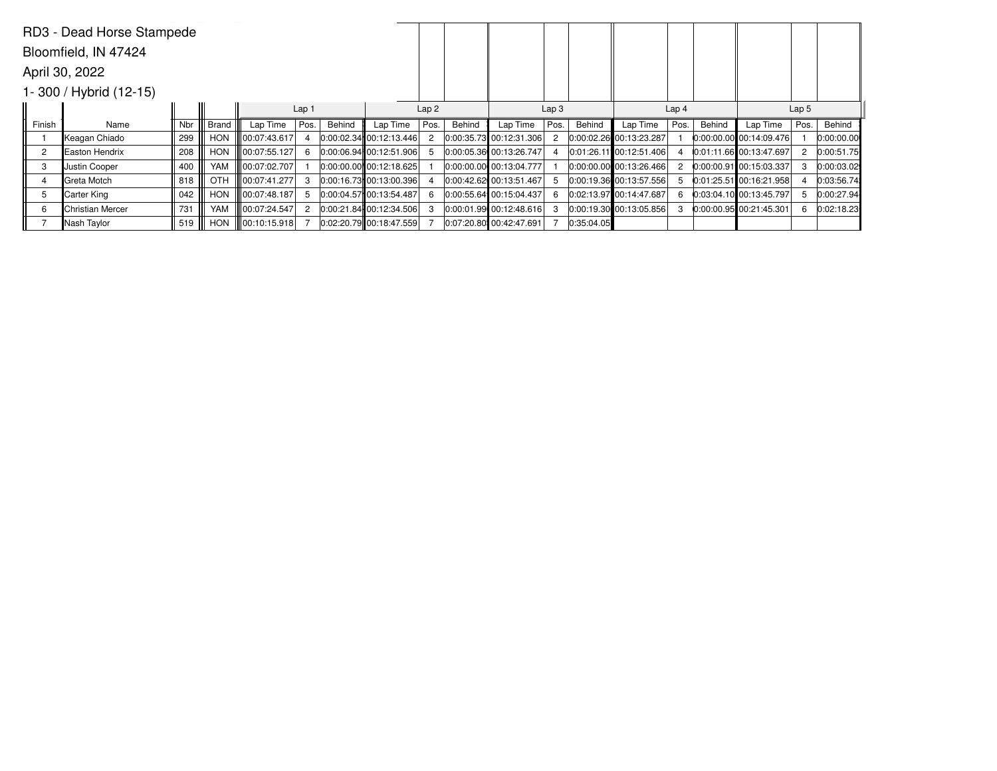|                | RD3 - Dead Horse Stampede  |     |            |               |                  |        |                             |      |        |                           |      |            |                             |               |        |                           |      |            |
|----------------|----------------------------|-----|------------|---------------|------------------|--------|-----------------------------|------|--------|---------------------------|------|------------|-----------------------------|---------------|--------|---------------------------|------|------------|
|                | Bloomfield, IN 47424       |     |            |               |                  |        |                             |      |        |                           |      |            |                             |               |        |                           |      |            |
|                | April 30, 2022             |     |            |               |                  |        |                             |      |        |                           |      |            |                             |               |        |                           |      |            |
|                | $1 - 300$ / Hybrid (12-15) |     |            |               |                  |        |                             |      |        |                           |      |            |                             |               |        |                           |      |            |
|                |                            |     |            |               | Lap <sub>1</sub> |        |                             | Lap2 |        | Lap <sub>3</sub>          |      |            | Lap <sub>4</sub>            |               |        | Lap <sub>5</sub>          |      |            |
| Finish         | Name                       | Nbr | Brand      | Lap Time      | Pos.             | Behind | Lap Time                    | Pos. | Behind | Lap Time                  | Pos. | Behind     | Lap Time                    | Pos.          | Behind | Lap Time                  | Pos. | Behind     |
|                | Keagan Chiado              | 299 | HON        | 00:07:43.617  | 4                |        | 0:00:02.34 00:12:13.446     |      |        | $0:00:35.73$ 00:12:31.306 | 2    |            | 0:00:02.26 00:13:23.287     |               |        | $0:00:00.00$ 00:14:09.476 |      | 0:00:00.00 |
| $\overline{c}$ | <b>IEaston Hendrix</b>     | 208 | <b>HON</b> | 00:07:55.127  | 6                |        | 0:00:06.94 00:12:51.906     |      |        | 0:00:05.36 00:13:26.747   |      |            | 0:01:26.11 00:12:51.406     |               |        | 0:01:11.66 00:13:47.697   |      | 0:00:51.75 |
| 3              | Justin Cooper              | 400 | YAM        | 00:07:02.707  |                  |        | $ 0:00:00.00 $ 00:12:18.625 |      |        | 0:00:00.00 00:13:04.777   |      |            | $ 0:00:00.00 $ 00:13:26.466 | $\mathcal{P}$ |        | 0:00:00.91 00:15:03.337   |      | 0:00:03.02 |
| 4              | Greta Motch                | 818 | OTH        | 00:07:41.277  | 3                |        | 0:00:16.73 00:13:00.396     |      |        | 0:00:42.62 00:13:51.467   | 5    |            | $ 0:00:19.36 $ 00:13:57.556 | 5             |        | $0:01:25.51$ 00:16:21.958 |      | 0:03:56.74 |
| 5              | Carter King                | 042 | <b>HON</b> | 00:07:48.187  | 5                |        | 0:00:04.57 00:13:54.487     |      |        | 0:00:55.64 00:15:04.437   | 6    |            | 0:02:13.97 00:14:47.687     | 6             |        | 0:03:04.10 00:13:45.797   |      | 0:00:27.94 |
| 6              | Christian Mercer           | 731 | YAM        | 00:07:24.547  | 2                |        | 0:00:21.84 00:12:34.506     |      |        | 0:00:01.99 00:12:48.616   | 3    |            | $ 0:00:19.30 $ 00:13:05.856 | 3             |        | 0:00:00.95 00:21:45.301   |      | 0:02:18.23 |
|                | Nash Taylor                | 519 | <b>HON</b> | 100:10:15.918 |                  |        | $0.02:20.79$ 00:18:47.559   |      |        | 0:07:20.80 00:42:47.691   |      | 0:35:04.05 |                             |               |        |                           |      |            |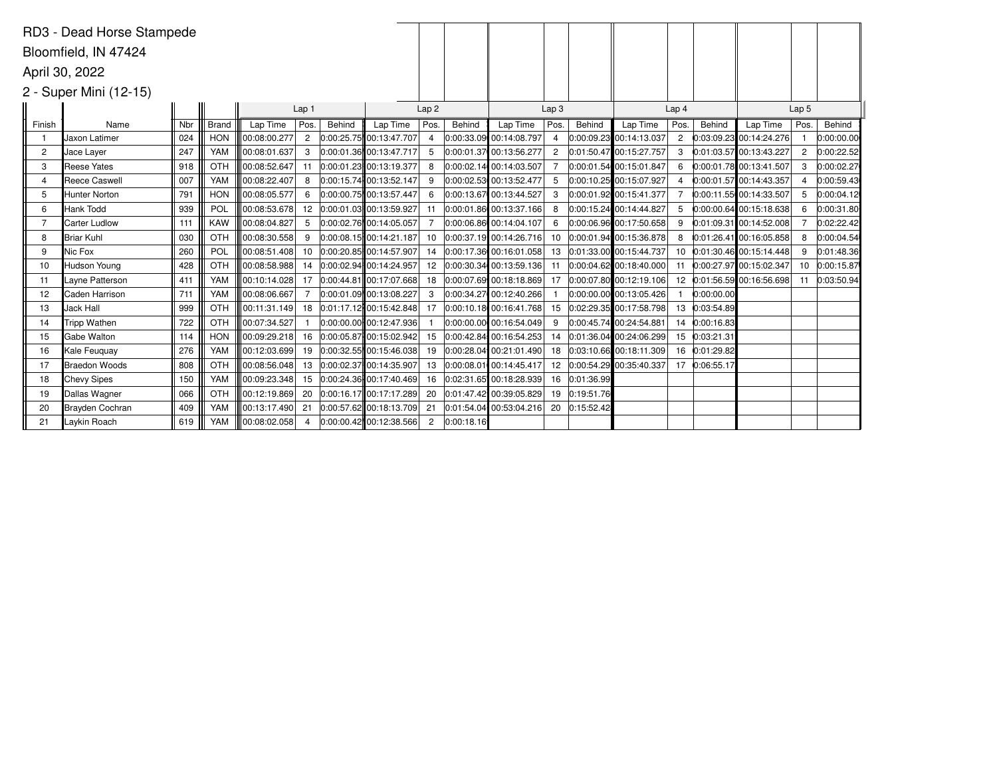|                | RD3 - Dead Horse Stampede |     |              |              |                  |        |                           |                  |            |                         |                  |            |                         |                  |            |                           |                  |               |
|----------------|---------------------------|-----|--------------|--------------|------------------|--------|---------------------------|------------------|------------|-------------------------|------------------|------------|-------------------------|------------------|------------|---------------------------|------------------|---------------|
|                | Bloomfield, IN 47424      |     |              |              |                  |        |                           |                  |            |                         |                  |            |                         |                  |            |                           |                  |               |
|                | April 30, 2022            |     |              |              |                  |        |                           |                  |            |                         |                  |            |                         |                  |            |                           |                  |               |
|                |                           |     |              |              |                  |        |                           |                  |            |                         |                  |            |                         |                  |            |                           |                  |               |
|                | 2 - Super Mini (12-15)    |     |              |              |                  |        |                           |                  |            |                         |                  |            |                         |                  |            |                           |                  |               |
|                |                           |     |              |              | Lap <sub>1</sub> |        |                           | Lap <sub>2</sub> |            |                         | Lap <sub>3</sub> |            |                         | Lap <sub>4</sub> |            |                           | Lap <sub>5</sub> |               |
| Finish         | Name                      | Nbr | <b>Brand</b> | Lap Time     | Pos.             | Behind | Lap Time                  | Pos.             | Behind     | Lap Time                | Pos.             | Behind     | Lap Time                | Pos.             | Behind     | Lap Time                  | Pos.             | Behind        |
|                | <b>I</b> Jaxon Latimer    | 024 | <b>HON</b>   | 00:08:00.277 | $\overline{2}$   |        | 0:00:25.75 00:13:47.707   | 4                |            | 0:00:33.09 00:14:08.797 | 4                |            | 0:00:09.23 00:14:13.037 | $\overline{2}$   |            | $0:03:09.23$ 00:14:24.276 |                  | 0:00:00.00    |
| $\overline{c}$ | Jace Layer                | 247 | YAM          | 00:08:01.637 | 3                |        | 0:00:01.36 00:13:47.717   |                  |            | 0:00:01.37 00:13:56.277 | $\overline{c}$   |            | 0:01:50.47 00:15:27.757 | 3                |            | 0:01:03.57 00:13:43.227   | 2                | 0:00:22.52    |
| 3              | Reese Yates               | 918 | OTH          | 00:08:52.647 | 11               |        | 0:00:01.23 00:13:19.377   | 8                |            | 0:00:02.14 00:14:03.507 | $\overline{7}$   |            | 0:00:01.54 00:15:01.847 | 6                |            | 0:00:01.78 00:13:41.507   | 3                | 0:00:02.27    |
| 4              | Reece Caswell             | 007 | YAM          | 00:08:22.407 | 8                |        | 0:00:15.74 00:13:52.147   |                  |            | 0:00:02.53 00:13:52.477 | 5                |            | 0:00:10.25 00:15:07.927 |                  |            | 0:00:01.57 00:14:43.357   |                  | 0:00:59.43    |
| 5              | Hunter Norton             | 791 | <b>HON</b>   | 00:08:05.577 | 6                |        | 0:00:00.75 00:13:57.447   | 6                |            | 0:00:13.67 00:13:44.527 | 3                |            | 0:00:01.92 00:15:41.377 |                  |            | 0:00:11.55 00:14:33.507   | 5                | 0:00:04.12    |
| 6              | Hank Todd                 | 939 | POL          | 00:08:53.678 | 12               |        | 0:00:01.03 00:13:59.927   |                  |            | 0:00:01.86 00:13:37.166 | 8                |            | 0:00:15.24 00:14:44.827 | 5                |            | $0:00:00.64$ 00:15:18.638 |                  | 0:00:31.80    |
| 7              | Carter Ludlow             | 111 | <b>KAW</b>   | 00:08:04.827 | -5               |        | 0:00:02.76 00:14:05.057   |                  |            | 0:00:06.86 00:14:04.107 |                  |            | 0:00:06.96 00:17:50.658 | 9                |            | $0:01:09.31$ 00:14:52.008 |                  | 0:02:22.42    |
| 8              | Briar Kuhl                | 030 | OTH          | 00:08:30.558 | 9                |        | 0:00:08.15 00:14:21.187   | 10               |            | 0:00:37.19 00:14:26.716 | 10               |            | 0:00:01.94 00:15:36.878 | 8                |            | 0:01:26.41 00:16:05.858   | 8                | 0:00:04.54    |
| 9              | Nic Fox                   | 260 | POL          | 00:08:51.408 | 10               |        | 0:00:20.85 00:14:57.907   | 14               |            | 0:00:17.36 00:16:01.058 | 13               |            | 0:01:33.00 00:15:44.737 | 10               |            | $0:01:30.46$ 00:15:14.448 |                  | 0:01:48.36    |
| 10             | Hudson Young              | 428 | OTH          | 00:08:58.988 | 14               |        | 0:00:02.94 00:14:24.957   | 12               |            | 0:00:30.34 00:13:59.136 | 11               |            | 0:00:04.62 00:18:40.000 | 11               |            | 0:00:27.97 00:15:02.347   |                  | 10 0:00:15.87 |
| -11            | Layne Patterson           | 411 | YAM          | 00:10:14.028 | 17               |        | 0:00:44.81 00:17:07.668   | 18               |            | 0:00:07.69 00:18:18.869 | 17               |            | 0:00:07.80 00:12:19.106 | 12 <sup>2</sup>  |            | 0:01:56.59 00:16:56.698   | 11               | 0:03:50.94    |
| 12             | Caden Harrison            | 711 | YAM          | 00:08:06.667 | $\overline{7}$   |        | 0:00:01.09 00:13:08.227   | 3                |            | 0:00:34.27 00:12:40.266 |                  |            | 0:00:00.00 00:13:05.426 |                  | 0:00:00.00 |                           |                  |               |
| 13             | Jack Hall                 | 999 | OTH          | 00:11:31.149 | 18               |        | 0:01:17.12 00:15:42.848   | 17               |            | 0:00:10.18 00:16:41.768 | 15               |            | 0:02:29.35 00:17:58.798 | 13               | 0:03:54.89 |                           |                  |               |
| 14             | Tripp Wathen              | 722 | OTH          | 00:07:34.527 |                  |        | $0:00:00.00$ 00:12:47.936 |                  |            | 0:00:00.00 00:16:54.049 | 9                |            | 0:00:45.74 00:24:54.881 | 14               | 0:00:16.83 |                           |                  |               |
| 15             | Gabe Walton               | 114 | <b>HON</b>   | 00:09:29.218 | 16               |        | 0:00:05.87 00:15:02.942   | 15               |            | 0:00:42.84 00:16:54.253 | 14               |            | 0:01:36.04 00:24:06.299 | 15               | 0:03:21.31 |                           |                  |               |
| 16             | Kale Feuguay              | 276 | YAM          | 00:12:03.699 | 19               |        | $0:00:32.55$ 00:15:46.038 | 19               |            | 0:00:28.04 00:21:01.490 | 18               |            | 0:03:10.66 00:18:11.309 | 16               | 0:01:29.82 |                           |                  |               |
| 17             | Braedon Woods             | 808 | OTH          | 00:08:56.048 | 13               |        | 0:00:02.37 00:14:35.907   | 13               |            | 0:00:08.01 00:14:45.417 | 12               |            | 0:00:54.29 00:35:40.337 | 17               | 0:06:55.17 |                           |                  |               |
| 18             | Chevy Sipes               | 150 | YAM          | 00:09:23.348 | 15               |        | 0:00:24.36 00:17:40.469   | 16               |            | 0:02:31.65 00:18:28.939 | 16               | 0:01:36.99 |                         |                  |            |                           |                  |               |
| 19             | Dallas Wagner             | 066 | OTH          | 00:12:19.869 | 20               |        | 0:00:16.17 00:17:17.289   | 20               |            | 0:01:47.42 00:39:05.829 | 19               | 0:19:51.76 |                         |                  |            |                           |                  |               |
| 20             | Brayden Cochran           | 409 | YAM          | 00:13:17.490 | 21               |        | 0:00:57.62 00:18:13.709   | 21               |            | 0:01:54.04 00:53:04.216 | 20               | 0:15:52.42 |                         |                  |            |                           |                  |               |
| 21             | Laykin Roach              | 619 | <b>YAM</b>   | 00:08:02.058 | 4                |        | 0:00:00.42 00:12:38.566   | 2                | 0:00:18.16 |                         |                  |            |                         |                  |            |                           |                  |               |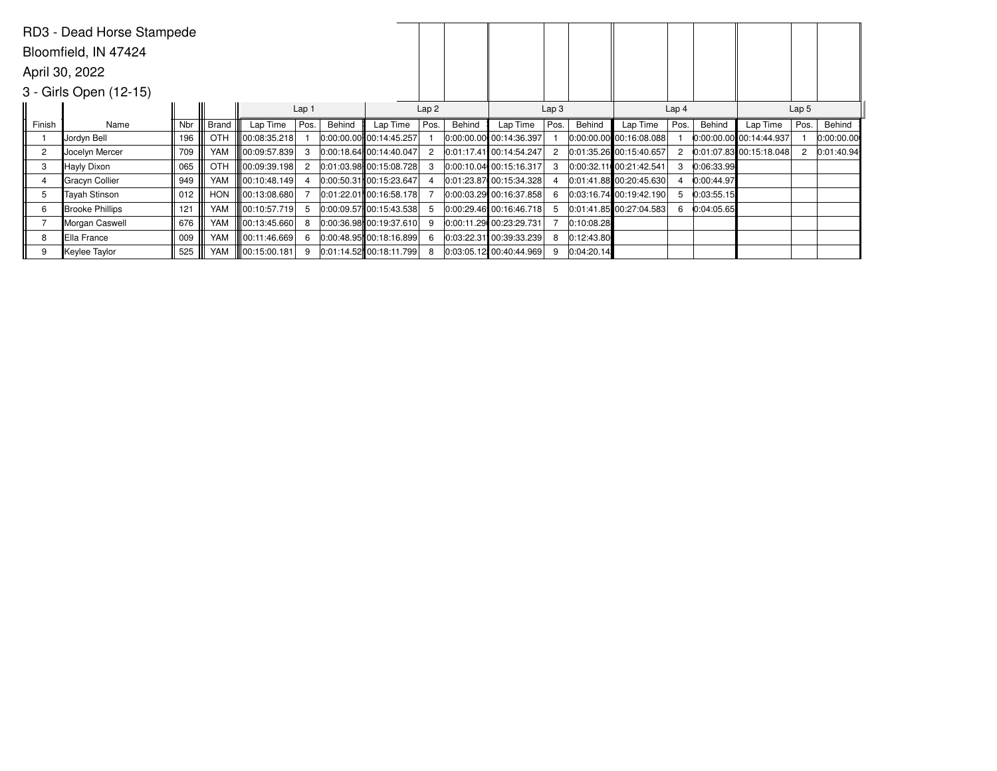|                | RD3 - Dead Horse Stampede |                          |            |              |                |        |                             |      |        |                           |                  |            |                             |                  |            |                           |      |            |
|----------------|---------------------------|--------------------------|------------|--------------|----------------|--------|-----------------------------|------|--------|---------------------------|------------------|------------|-----------------------------|------------------|------------|---------------------------|------|------------|
|                | Bloomfield, IN 47424      |                          |            |              |                |        |                             |      |        |                           |                  |            |                             |                  |            |                           |      |            |
|                | April 30, 2022            |                          |            |              |                |        |                             |      |        |                           |                  |            |                             |                  |            |                           |      |            |
|                | 3 - Girls Open (12-15)    |                          |            |              |                |        |                             |      |        |                           |                  |            |                             |                  |            |                           |      |            |
|                |                           | Lap <sub>1</sub><br>Lap2 |            |              |                |        |                             |      |        |                           | Lap <sub>3</sub> |            |                             | Lap <sub>4</sub> |            | Lap <sub>5</sub>          |      |            |
| Finish         | Name                      | Nbr                      | Brand      | Lap Time     | Pos.           | Behind | Lap Time                    | Pos. | Behind | Lap Time                  | Pos.             | Behind     | Lap Time                    | Pos.             | Behind     | Lap Time                  | Pos. | Behind     |
|                | Jordyn Bell               | 196                      | OTH        | 00:08:35.218 |                |        | $ 0:00:00.00 $ 00:14:45.257 |      |        | 0:00:00.00 00:14:36.397   |                  |            | $ 0:00:00.00 $ 00:16:08.088 |                  |            | 0:00:00.00 00:14:44.937   |      | 0:00:00.00 |
| $\overline{c}$ | Jocelyn Mercer            | 709                      | YAM        | 00:09:57.839 | 3              |        | $0:00:18.64$ 00:14:40.047   |      |        | 0:01:17.41 00:14:54.247   |                  |            | 0.01:35.26 00:15:40.657     | $\overline{2}$   |            | $0:01:07.83$ 00:15:18.048 |      | 0:01:40.94 |
| 3              | Hayly Dixon               | 065                      | OTH        | 00:09:39.198 | $\overline{2}$ |        | 0:01:03.98 00:15:08.728     |      |        | 0:00:10.04 00:15:16.317   |                  |            | 0:00:32.11 00:21:42.541     | 3                | 0:06:33.99 |                           |      |            |
|                | Gracyn Collier            | 949                      | YAM        | 00:10:48.149 |                |        | $0:00:50.31$ 00:15:23.647   |      |        | $0:01:23.87$ 00:15:34.328 |                  |            | 0:01:41.88  00:20:45.630    |                  | 0:00:44.97 |                           |      |            |
| 5              | <b>Tayah Stinson</b>      | 012                      | <b>HON</b> | 00:13:08.680 |                |        | 0:01:22.01 00:16:58.178     |      |        | 0:00:03.29 00:16:37.858   |                  |            | $ 0:03:16.74 $ 00:19:42.190 | 5                | 0:03:55.15 |                           |      |            |
| 6              | Brooke Phillips           | 121                      | YAM        | 00:10:57.719 | 5              |        | 0:00:09.57 00:15:43.538     |      |        | $0:00:29.46$ 00:16:46.718 |                  |            | $ 0:01:41.85 $ 00:27:04.583 | 6                | 0:04:05.65 |                           |      |            |
|                | Morgan Caswell            | 676                      | YAM        | 00:13:45.660 | 8              |        | $0.00:36.98$ 00:19:37.610   |      |        | 0:00:11.29 00:23:29.731   |                  | 0:10:08.28 |                             |                  |            |                           |      |            |
| 8              | Ella France               | 009                      | YAM        | 00:11:46.669 | 6              |        | 0:00:48.95 00:18:16.899     |      |        | 0:03:22.31 00:39:33.239   | 8                | 0:12:43.80 |                             |                  |            |                           |      |            |
| 9              | Keylee Taylor             | 525                      | YAM        | 00:15:00.181 | 9              |        | 0:01:14.52  00:18:11.799    |      |        | $0.03:05.12$ 00:40:44.969 | 9                | 0:04:20.14 |                             |                  |            |                           |      |            |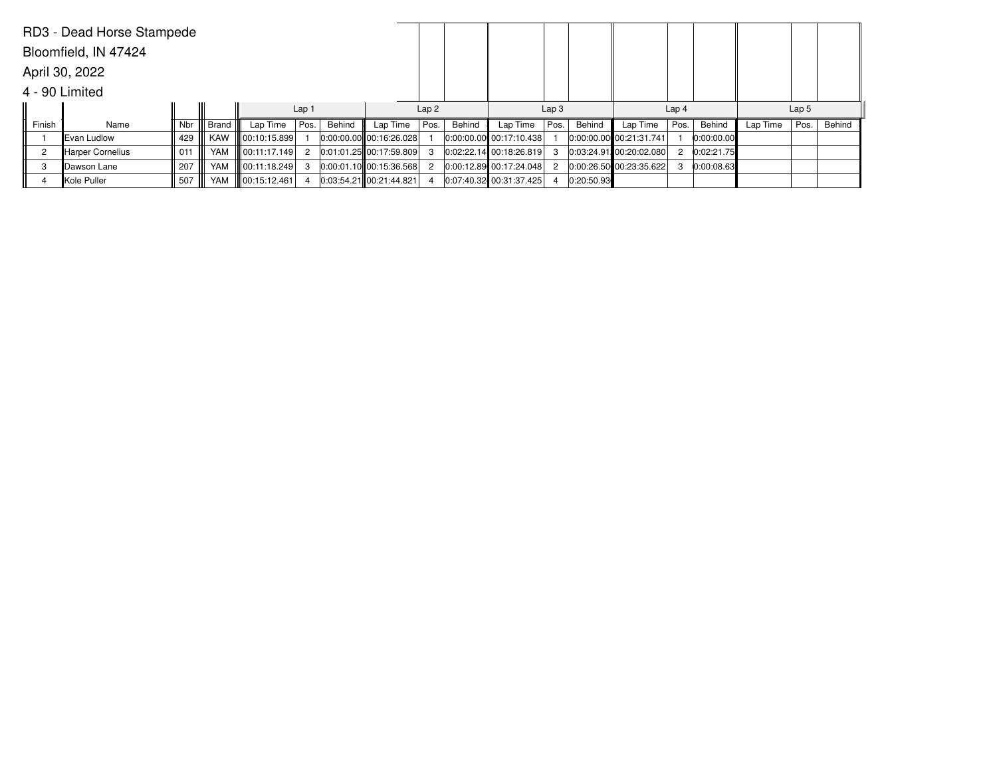|        | RD3 - Dead Horse Stampede |     |           |                        |                  |        |                             |      |        |                         |      |                  |                           |      |            |          |                  |        |
|--------|---------------------------|-----|-----------|------------------------|------------------|--------|-----------------------------|------|--------|-------------------------|------|------------------|---------------------------|------|------------|----------|------------------|--------|
|        | Bloomfield, IN 47424      |     |           |                        |                  |        |                             |      |        |                         |      |                  |                           |      |            |          |                  |        |
|        | April 30, 2022            |     |           |                        |                  |        |                             |      |        |                         |      |                  |                           |      |            |          |                  |        |
|        | 4 - 90 Limited            |     |           |                        |                  |        |                             |      |        |                         |      |                  |                           |      |            |          |                  |        |
|        |                           |     |           |                        | Lap <sub>1</sub> |        |                             |      | Lap2   |                         |      | Lap <sub>3</sub> |                           |      |            |          | Lap <sub>5</sub> |        |
| Finish | Name                      | Nbr | Brand III | Lap Time               | Pos.             | Behind | Lap Time                    | Pos. | Behind | Lap Time                | Pos. | Behind           | Lap Time                  | Pos. | Behind     | Lap Time | Pos.             | Behind |
|        | Evan Ludlow               | 429 | KAW       | <b>II</b> 00:10:15.899 |                  |        | $ 0:00:00.00 $ 00:16:26.028 |      |        | 0:00:00.00 00:17:10.438 |      |                  | 0:00:00.00 00:21:31.741   |      | 0:00:00.00 |          |                  |        |
|        | <b>Harper Cornelius</b>   | 011 | YAM       | 100:11:17.149          | $\overline{2}$   |        | $0:01:01.25$ 00:17:59.809   | 3    |        | 0:02:22.14 00:18:26.819 |      |                  | $0:03:24.91$ 00:20:02.080 |      | 0:02:21.75 |          |                  |        |
| 3      | Dawson Lane               | 207 | YAM       | 00:11:18.249           | 3                |        | $ 0:00:01.10 $ 00:15:36.568 | 2    |        | 0:00:12.89 00:17:24.048 |      |                  | 0:00:26.50 00:23:35.622   |      | 0:00:08.63 |          |                  |        |
|        | Kole Puller               | 507 | YAM       | 00:15:12.461           |                  |        | $0:03:54.21$ 00:21:44.821   |      |        | 0:07:40.32 00:31:37.425 | 4    | 0:20:50.93       |                           |      |            |          |                  |        |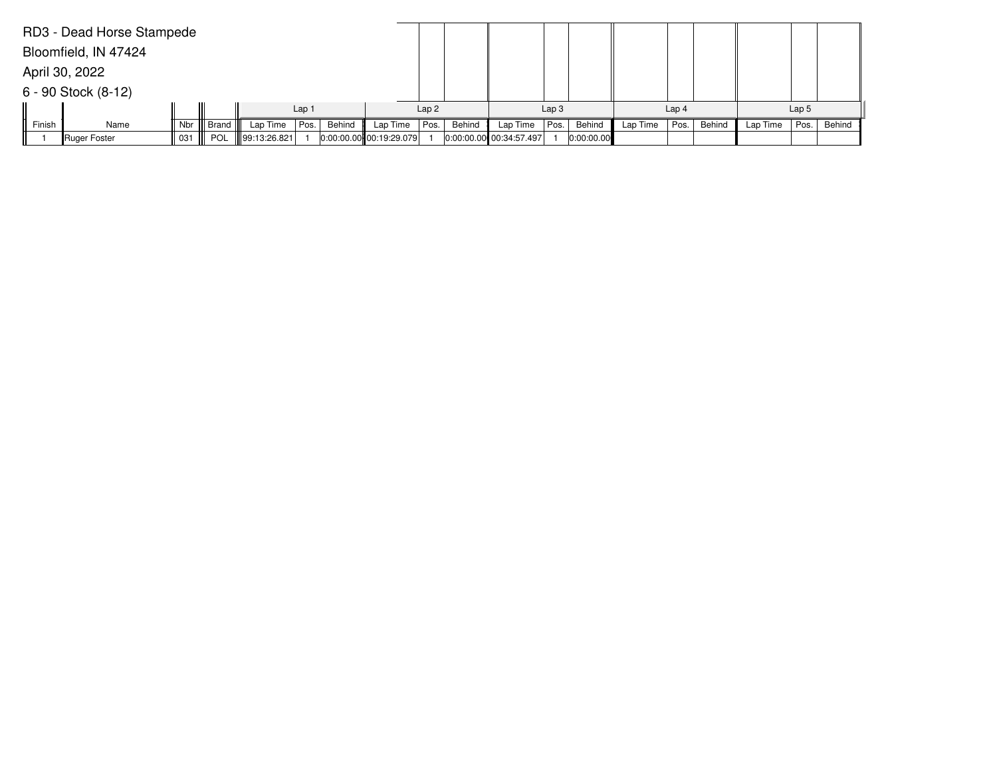|        | RD3 - Dead Horse Stampede |     |            |              |                  |        |                             |      |        |                         |                  |            |          |                  |        |          |                  |        |
|--------|---------------------------|-----|------------|--------------|------------------|--------|-----------------------------|------|--------|-------------------------|------------------|------------|----------|------------------|--------|----------|------------------|--------|
|        | Bloomfield, IN 47424      |     |            |              |                  |        |                             |      |        |                         |                  |            |          |                  |        |          |                  |        |
|        | April 30, 2022            |     |            |              |                  |        |                             |      |        |                         |                  |            |          |                  |        |          |                  |        |
|        | $6 - 90$ Stock $(8-12)$   |     |            |              |                  |        |                             |      |        |                         |                  |            |          |                  |        |          |                  |        |
|        |                           |     |            |              | Lap <sub>1</sub> |        |                             |      |        |                         | Lap <sub>3</sub> |            |          | Lap <sub>4</sub> |        |          | Lap <sub>5</sub> |        |
| Finish | Name                      | Nbr | Brand      | Lap Time     | Pos.             | Behind | Lap Time                    | Pos. | Behind | Lap Time                | Pos.             | Behind     | Lap Time | Pos.             | Behind | Lap Time | Pos.             | Behind |
|        | <b>Ruger Foster</b>       | 031 | <b>POL</b> | 99:13:26.821 |                  |        | $ 0:00:00.00 $ 00:19:29.079 |      |        | 0:00:00.00 00:34:57.497 |                  | 0:00:00.00 |          |                  |        |          |                  |        |